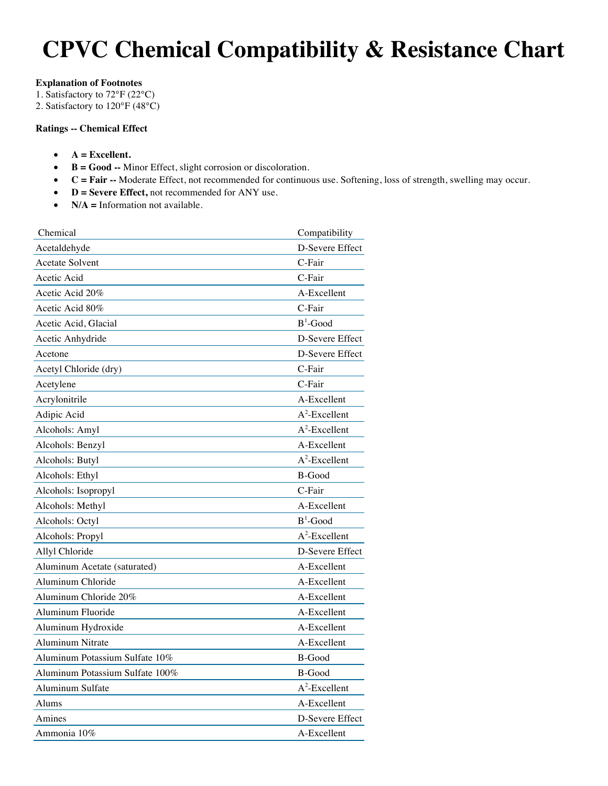# **CPVC Chemical Compatibility & Resistance Chart**

## **Explanation of Footnotes**

1. Satisfactory to 72°F (22°C)

2. Satisfactory to 120°F (48°C)

# **Ratings -- Chemical Effect**

- **A = Excellent.**
- **B = Good --** Minor Effect, slight corrosion or discoloration.
- **C = Fair --** Moderate Effect, not recommended for continuous use. Softening, loss of strength, swelling may occur.
- **D = Severe Effect,** not recommended for ANY use.
- **N/A** = Information not available.

| Chemical                        | Compatibility                      |
|---------------------------------|------------------------------------|
| Acetaldehyde                    | D-Severe Effect                    |
| <b>Acetate Solvent</b>          | C-Fair                             |
| Acetic Acid                     | C-Fair                             |
| Acetic Acid 20%                 | A-Excellent                        |
| Acetic Acid 80%                 | C-Fair                             |
| Acetic Acid, Glacial            | $\mathbf B^1\text{-}\mathbf{Good}$ |
| Acetic Anhydride                | D-Severe Effect                    |
| Acetone                         | D-Severe Effect                    |
| Acetyl Chloride (dry)           | C-Fair                             |
| Acetylene                       | C-Fair                             |
| Acrylonitrile                   | A-Excellent                        |
| Adipic Acid                     | $A^2$ -Excellent                   |
| Alcohols: Amyl                  | $A^2$ -Excellent                   |
| Alcohols: Benzyl                | A-Excellent                        |
| Alcohols: Butyl                 | $A^2$ -Excellent                   |
| Alcohols: Ethyl                 | <b>B-Good</b>                      |
| Alcohols: Isopropyl             | C-Fair                             |
| Alcohols: Methyl                | A-Excellent                        |
| Alcohols: Octyl                 | $B^1$ -Good                        |
| Alcohols: Propyl                | $A^2$ -Excellent                   |
| Allyl Chloride                  | D-Severe Effect                    |
| Aluminum Acetate (saturated)    | A-Excellent                        |
| Aluminum Chloride               | A-Excellent                        |
| Aluminum Chloride 20%           | A-Excellent                        |
| Aluminum Fluoride               | A-Excellent                        |
| Aluminum Hydroxide              | A-Excellent                        |
| <b>Aluminum Nitrate</b>         | A-Excellent                        |
| Aluminum Potassium Sulfate 10%  | <b>B-Good</b>                      |
| Aluminum Potassium Sulfate 100% | B-Good                             |
| Aluminum Sulfate                | $A^2$ -Excellent                   |
| Alums                           | A-Excellent                        |
| Amines                          | D-Severe Effect                    |
| Ammonia 10%                     | A-Excellent                        |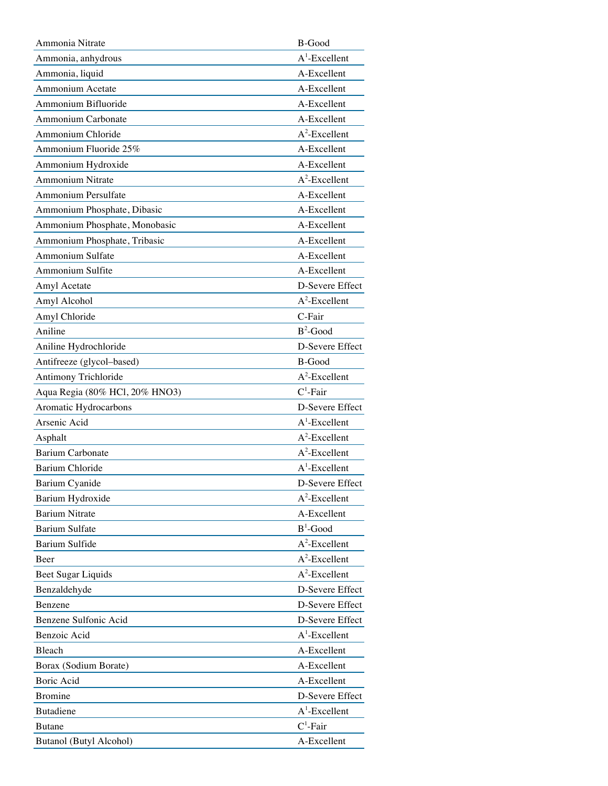| Ammonia Nitrate                | <b>B-Good</b>    |
|--------------------------------|------------------|
| Ammonia, anhydrous             | $A^1$ -Excellent |
| Ammonia, liquid                | A-Excellent      |
| Ammonium Acetate               | A-Excellent      |
| Ammonium Bifluoride            | A-Excellent      |
| Ammonium Carbonate             | A-Excellent      |
| Ammonium Chloride              | $A^2$ -Excellent |
| Ammonium Fluoride 25%          | A-Excellent      |
| Ammonium Hydroxide             | A-Excellent      |
| Ammonium Nitrate               | $A^2$ -Excellent |
| Ammonium Persulfate            | A-Excellent      |
| Ammonium Phosphate, Dibasic    | A-Excellent      |
| Ammonium Phosphate, Monobasic  | A-Excellent      |
| Ammonium Phosphate, Tribasic   | A-Excellent      |
| <b>Ammonium Sulfate</b>        | A-Excellent      |
| Ammonium Sulfite               | A-Excellent      |
| Amyl Acetate                   | D-Severe Effect  |
| Amyl Alcohol                   | $A^2$ -Excellent |
| Amyl Chloride                  | C-Fair           |
| Aniline                        | $B^2$ -Good      |
| Aniline Hydrochloride          | D-Severe Effect  |
| Antifreeze (glycol-based)      | B-Good           |
| Antimony Trichloride           | $A^2$ -Excellent |
| Aqua Regia (80% HCl, 20% HNO3) | $C^1$ -Fair      |
| Aromatic Hydrocarbons          | D-Severe Effect  |
| Arsenic Acid                   | $A^1$ -Excellent |
| Asphalt                        | $A^2$ -Excellent |
| <b>Barium Carbonate</b>        | $A^2$ -Excellent |
| <b>Barium Chloride</b>         | $A^1$ -Excellent |
| Barium Cyanide                 | D-Severe Effect  |
| Barium Hydroxide               | $A^2$ -Excellent |
| <b>Barium Nitrate</b>          | A-Excellent      |
| <b>Barium Sulfate</b>          | $B^1$ -Good      |
| <b>Barium Sulfide</b>          | $A^2$ -Excellent |
| Beer                           | $A^2$ -Excellent |
| Beet Sugar Liquids             | $A^2$ -Excellent |
| Benzaldehyde                   | D-Severe Effect  |
| Benzene                        | D-Severe Effect  |
| Benzene Sulfonic Acid          | D-Severe Effect  |
| Benzoic Acid                   | $A^1$ -Excellent |
| Bleach                         | A-Excellent      |
| Borax (Sodium Borate)          | A-Excellent      |
| Boric Acid                     | A-Excellent      |
| Bromine                        | D-Severe Effect  |
| <b>Butadiene</b>               | $A^1$ -Excellent |
| <b>Butane</b>                  | $C^1$ -Fair      |
| Butanol (Butyl Alcohol)        | A-Excellent      |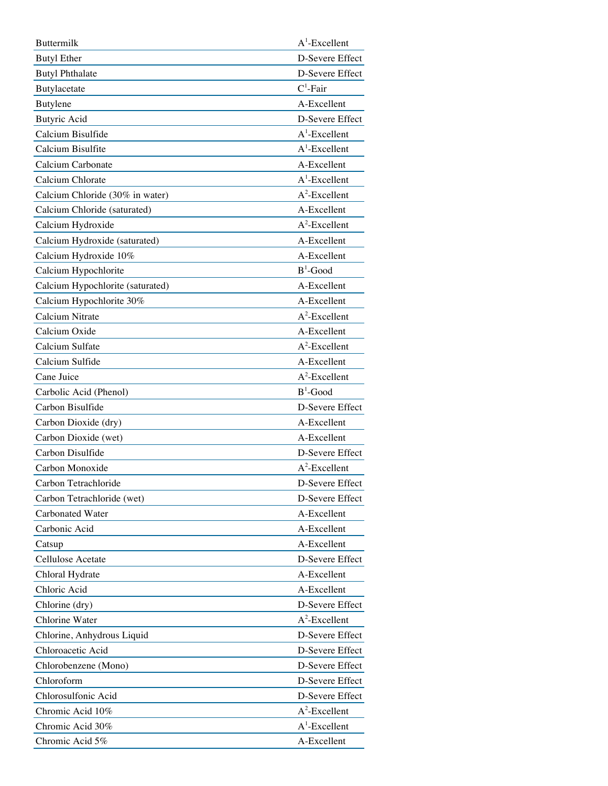| <b>Buttermilk</b>                | $A^1$ -Excellent |
|----------------------------------|------------------|
| <b>Butyl Ether</b>               | D-Severe Effect  |
| <b>Butyl Phthalate</b>           | D-Severe Effect  |
| Butylacetate                     | $C^1$ -Fair      |
| Butylene                         | A-Excellent      |
| <b>Butyric Acid</b>              | D-Severe Effect  |
| Calcium Bisulfide                | $A^1$ -Excellent |
| Calcium Bisulfite                | $A^1$ -Excellent |
| Calcium Carbonate                | A-Excellent      |
| Calcium Chlorate                 | $A^1$ -Excellent |
| Calcium Chloride (30% in water)  | $A^2$ -Excellent |
| Calcium Chloride (saturated)     | A-Excellent      |
| Calcium Hydroxide                | $A^2$ -Excellent |
| Calcium Hydroxide (saturated)    | A-Excellent      |
| Calcium Hydroxide 10%            | A-Excellent      |
| Calcium Hypochlorite             | $B^1$ -Good      |
| Calcium Hypochlorite (saturated) | A-Excellent      |
| Calcium Hypochlorite 30%         | A-Excellent      |
| Calcium Nitrate                  | $A^2$ -Excellent |
| Calcium Oxide                    | A-Excellent      |
| Calcium Sulfate                  | $A^2$ -Excellent |
| Calcium Sulfide                  | A-Excellent      |
| Cane Juice                       | $A^2$ -Excellent |
| Carbolic Acid (Phenol)           | $B^1$ -Good      |
| Carbon Bisulfide                 | D-Severe Effect  |
| Carbon Dioxide (dry)             | A-Excellent      |
| Carbon Dioxide (wet)             | A-Excellent      |
| Carbon Disulfide                 | D-Severe Effect  |
| Carbon Monoxide                  | $A^2$ -Excellent |
| Carbon Tetrachloride             | D-Severe Effect  |
| Carbon Tetrachloride (wet)       | D-Severe Effect  |
| <b>Carbonated Water</b>          | A-Excellent      |
| Carbonic Acid                    | A-Excellent      |
| Catsup                           | A-Excellent      |
| Cellulose Acetate                | D-Severe Effect  |
| Chloral Hydrate                  | A-Excellent      |
| Chloric Acid                     | A-Excellent      |
| Chlorine (dry)                   | D-Severe Effect  |
| Chlorine Water                   | $A^2$ -Excellent |
| Chlorine, Anhydrous Liquid       | D-Severe Effect  |
| Chloroacetic Acid                | D-Severe Effect  |
| Chlorobenzene (Mono)             | D-Severe Effect  |
| Chloroform                       | D-Severe Effect  |
| Chlorosulfonic Acid              | D-Severe Effect  |
| Chromic Acid 10%                 | $A^2$ -Excellent |
| Chromic Acid 30%                 | $A^1$ -Excellent |
| Chromic Acid 5%                  | A-Excellent      |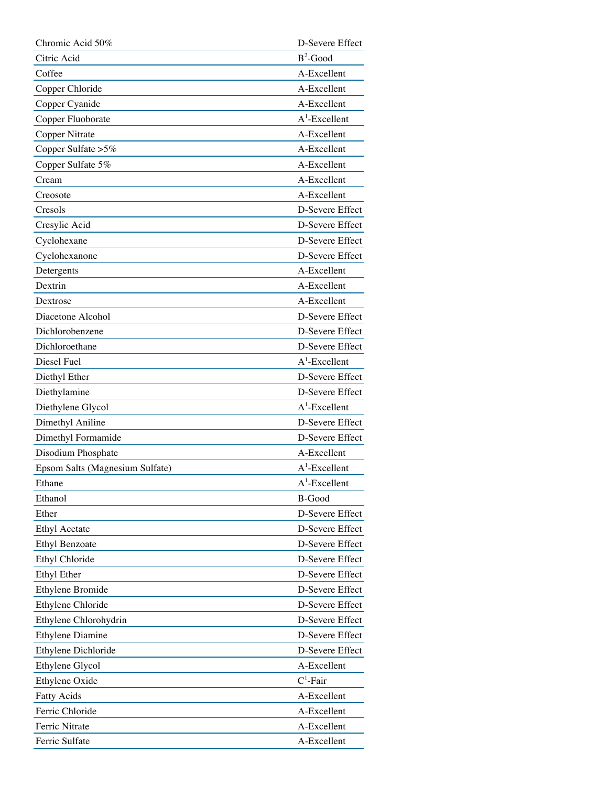| Chromic Acid 50%                | D-Severe Effect  |
|---------------------------------|------------------|
| Citric Acid                     | $B^2$ -Good      |
| Coffee                          | A-Excellent      |
| Copper Chloride                 | A-Excellent      |
| Copper Cyanide                  | A-Excellent      |
| Copper Fluoborate               | $A^1$ -Excellent |
| Copper Nitrate                  | A-Excellent      |
| Copper Sulfate > 5%             | A-Excellent      |
| Copper Sulfate 5%               | A-Excellent      |
| Cream                           | A-Excellent      |
| Creosote                        | A-Excellent      |
| Cresols                         | D-Severe Effect  |
| Cresylic Acid                   | D-Severe Effect  |
| Cyclohexane                     | D-Severe Effect  |
| Cyclohexanone                   | D-Severe Effect  |
| Detergents                      | A-Excellent      |
| Dextrin                         | A-Excellent      |
| Dextrose                        | A-Excellent      |
| Diacetone Alcohol               | D-Severe Effect  |
| Dichlorobenzene                 | D-Severe Effect  |
| Dichloroethane                  | D-Severe Effect  |
| Diesel Fuel                     | $A^1$ -Excellent |
| Diethyl Ether                   | D-Severe Effect  |
| Diethylamine                    | D-Severe Effect  |
| Diethylene Glycol               | $A^1$ -Excellent |
| Dimethyl Aniline                | D-Severe Effect  |
| Dimethyl Formamide              | D-Severe Effect  |
| Disodium Phosphate              | A-Excellent      |
| Epsom Salts (Magnesium Sulfate) | $A^1$ -Excellent |
| Ethane                          | $A^1$ -Excellent |
| Ethanol                         | <b>B-Good</b>    |
| Ether                           | D-Severe Effect  |
| <b>Ethyl Acetate</b>            | D-Severe Effect  |
| <b>Ethyl Benzoate</b>           | D-Severe Effect  |
| Ethyl Chloride                  | D-Severe Effect  |
| <b>Ethyl Ether</b>              | D-Severe Effect  |
| Ethylene Bromide                | D-Severe Effect  |
| Ethylene Chloride               | D-Severe Effect  |
| Ethylene Chlorohydrin           | D-Severe Effect  |
| Ethylene Diamine                | D-Severe Effect  |
| Ethylene Dichloride             | D-Severe Effect  |
| Ethylene Glycol                 | A-Excellent      |
| Ethylene Oxide                  | $C^1$ -Fair      |
| <b>Fatty Acids</b>              | A-Excellent      |
| Ferric Chloride                 | A-Excellent      |
| Ferric Nitrate                  | A-Excellent      |
| Ferric Sulfate                  | A-Excellent      |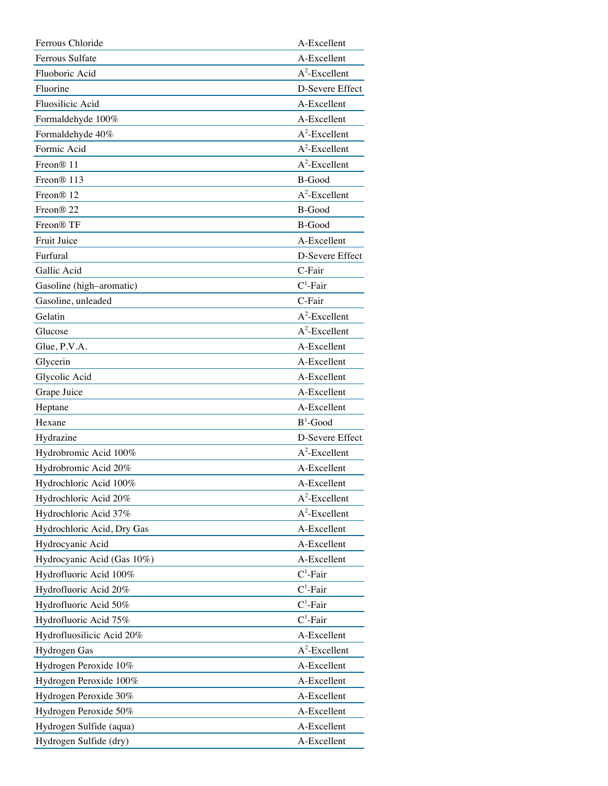| Ferrous Chloride           | A-Excellent      |
|----------------------------|------------------|
| Ferrous Sulfate            | A-Excellent      |
| Fluoboric Acid             | $A^2$ -Excellent |
| Fluorine                   | D-Severe Effect  |
| Fluosilicic Acid           | A-Excellent      |
| Formaldehyde 100%          | A-Excellent      |
| Formaldehyde 40%           | $A^2$ -Excellent |
| Formic Acid                | $A^2$ -Excellent |
| Freon <sup>®</sup> 11      | $A^2$ -Excellent |
| Freon <sup>®</sup> 113     | <b>B-Good</b>    |
| Freon <sup>®</sup> 12      | $A^2$ -Excellent |
| Freon <sup>®</sup> 22      | B-Good           |
| Freon <sup>®</sup> TF      | B-Good           |
| Fruit Juice                | A-Excellent      |
| Furfural                   | D-Severe Effect  |
| Gallic Acid                | C-Fair           |
| Gasoline (high-aromatic)   | $C^1$ -Fair      |
| Gasoline, unleaded         | C-Fair           |
| Gelatin                    | $A^2$ -Excellent |
| Glucose                    | $A^2$ -Excellent |
| Glue, P.V.A.               | A-Excellent      |
| Glycerin                   | A-Excellent      |
| Glycolic Acid              | A-Excellent      |
| Grape Juice                | A-Excellent      |
| Heptane                    | A-Excellent      |
| Hexane                     | $B^1$ -Good      |
| Hydrazine                  | D-Severe Effect  |
| Hydrobromic Acid 100%      | $A^2$ -Excellent |
| Hydrobromic Acid 20%       | A-Excellent      |
| Hydrochloric Acid 100%     | A-Excellent      |
| Hydrochloric Acid 20%      | $A^2$ -Excellent |
| Hydrochloric Acid 37%      | $A^2$ -Excellent |
| Hydrochloric Acid, Dry Gas | A-Excellent      |
| Hydrocyanic Acid           | A-Excellent      |
| Hydrocyanic Acid (Gas 10%) | A-Excellent      |
| Hydrofluoric Acid 100%     | $C^1$ -Fair      |
| Hydrofluoric Acid 20%      | $C^1$ -Fair      |
| Hydrofluoric Acid 50%      | $C^1$ -Fair      |
| Hydrofluoric Acid 75%      | $C^1$ -Fair      |
| Hydrofluosilicic Acid 20%  | A-Excellent      |
| Hydrogen Gas               | $A^2$ -Excellent |
| Hydrogen Peroxide 10%      | A-Excellent      |
| Hydrogen Peroxide 100%     | A-Excellent      |
| Hydrogen Peroxide 30%      | A-Excellent      |
| Hydrogen Peroxide 50%      | A-Excellent      |
| Hydrogen Sulfide (aqua)    | A-Excellent      |
| Hydrogen Sulfide (dry)     | A-Excellent      |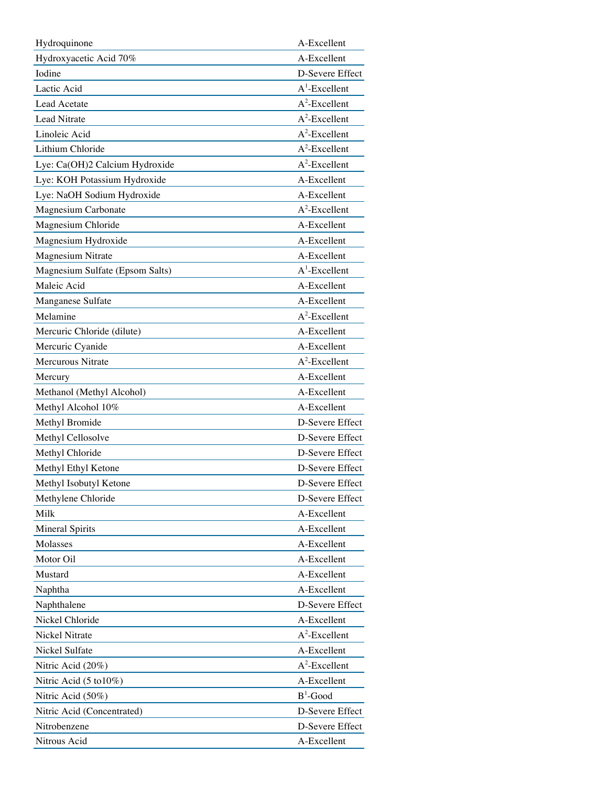| Hydroquinone                    | A-Excellent      |
|---------------------------------|------------------|
| Hydroxyacetic Acid 70%          | A-Excellent      |
| Iodine                          | D-Severe Effect  |
| Lactic Acid                     | $A^1$ -Excellent |
| Lead Acetate                    | $A^2$ -Excellent |
| Lead Nitrate                    | $A^2$ -Excellent |
| Linoleic Acid                   | $A^2$ -Excellent |
| Lithium Chloride                | $A^2$ -Excellent |
| Lye: Ca(OH)2 Calcium Hydroxide  | $A^2$ -Excellent |
| Lye: KOH Potassium Hydroxide    | A-Excellent      |
| Lye: NaOH Sodium Hydroxide      | A-Excellent      |
| Magnesium Carbonate             | $A^2$ -Excellent |
| Magnesium Chloride              | A-Excellent      |
| Magnesium Hydroxide             | A-Excellent      |
| <b>Magnesium Nitrate</b>        | A-Excellent      |
| Magnesium Sulfate (Epsom Salts) | $A^1$ -Excellent |
| Maleic Acid                     | A-Excellent      |
| Manganese Sulfate               | A-Excellent      |
| Melamine                        | $A^2$ -Excellent |
| Mercuric Chloride (dilute)      | A-Excellent      |
| Mercuric Cyanide                | A-Excellent      |
| <b>Mercurous Nitrate</b>        | $A^2$ -Excellent |
| Mercury                         | A-Excellent      |
| Methanol (Methyl Alcohol)       | A-Excellent      |
| Methyl Alcohol 10%              | A-Excellent      |
| Methyl Bromide                  | D-Severe Effect  |
| Methyl Cellosolve               | D-Severe Effect  |
| Methyl Chloride                 | D-Severe Effect  |
| Methyl Ethyl Ketone             | D-Severe Effect  |
| Methyl Isobutyl Ketone          | D-Severe Effect  |
| Methylene Chloride              | D-Severe Effect  |
| Milk                            | A-Excellent      |
| <b>Mineral Spirits</b>          | A-Excellent      |
| Molasses                        | A-Excellent      |
| Motor Oil                       | A-Excellent      |
| Mustard                         | A-Excellent      |
| Naphtha                         | A-Excellent      |
| Naphthalene                     | D-Severe Effect  |
| Nickel Chloride                 | A-Excellent      |
| Nickel Nitrate                  | $A^2$ -Excellent |
| Nickel Sulfate                  | A-Excellent      |
| Nitric Acid (20%)               | $A^2$ -Excellent |
| Nitric Acid (5 to 10%)          | A-Excellent      |
| Nitric Acid (50%)               | $B^1$ -Good      |
| Nitric Acid (Concentrated)      | D-Severe Effect  |
| Nitrobenzene                    | D-Severe Effect  |
| Nitrous Acid                    | A-Excellent      |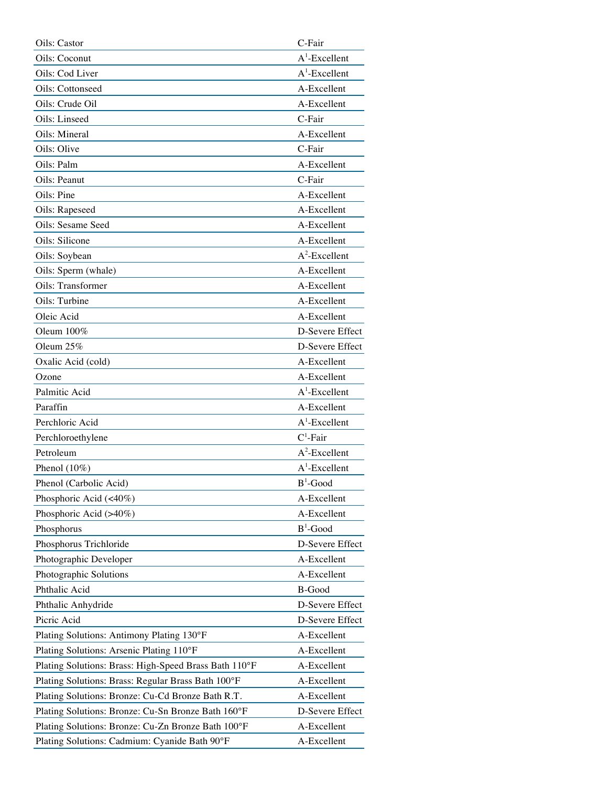| Oils: Castor                                          | C-Fair           |
|-------------------------------------------------------|------------------|
| Oils: Coconut                                         | $A^1$ -Excellent |
| Oils: Cod Liver                                       | $A^1$ -Excellent |
| Oils: Cottonseed                                      | A-Excellent      |
| Oils: Crude Oil                                       | A-Excellent      |
| Oils: Linseed                                         | C-Fair           |
| Oils: Mineral                                         | A-Excellent      |
| Oils: Olive                                           | C-Fair           |
| Oils: Palm                                            | A-Excellent      |
| Oils: Peanut                                          | C-Fair           |
| Oils: Pine                                            | A-Excellent      |
| Oils: Rapeseed                                        | A-Excellent      |
| Oils: Sesame Seed                                     | A-Excellent      |
| Oils: Silicone                                        | A-Excellent      |
| Oils: Soybean                                         | $A^2$ -Excellent |
| Oils: Sperm (whale)                                   | A-Excellent      |
| Oils: Transformer                                     | A-Excellent      |
| Oils: Turbine                                         | A-Excellent      |
| Oleic Acid                                            | A-Excellent      |
| Oleum $100\%$                                         | D-Severe Effect  |
| Oleum 25%                                             | D-Severe Effect  |
| Oxalic Acid (cold)                                    | A-Excellent      |
| Ozone                                                 | A-Excellent      |
| Palmitic Acid                                         | $A^1$ -Excellent |
| Paraffin                                              | A-Excellent      |
| Perchloric Acid                                       | $A^1$ -Excellent |
| Perchloroethylene                                     | $C^1$ -Fair      |
| Petroleum                                             | $A^2$ -Excellent |
| Phenol $(10\%)$                                       | $A^1$ -Excellent |
| Phenol (Carbolic Acid)                                | $B^1$ -Good      |
| Phosphoric Acid (<40%)                                | A-Excellent      |
| Phosphoric Acid (>40%)                                | A-Excellent      |
| Phosphorus                                            | $B^1$ -Good      |
| Phosphorus Trichloride                                | D-Severe Effect  |
| Photographic Developer                                | A-Excellent      |
| Photographic Solutions                                | A-Excellent      |
| Phthalic Acid                                         | B-Good           |
| Phthalic Anhydride                                    | D-Severe Effect  |
| Picric Acid                                           | D-Severe Effect  |
| Plating Solutions: Antimony Plating 130°F             | A-Excellent      |
| Plating Solutions: Arsenic Plating 110°F              | A-Excellent      |
| Plating Solutions: Brass: High-Speed Brass Bath 110°F | A-Excellent      |
| Plating Solutions: Brass: Regular Brass Bath 100°F    | A-Excellent      |
| Plating Solutions: Bronze: Cu-Cd Bronze Bath R.T.     | A-Excellent      |
| Plating Solutions: Bronze: Cu-Sn Bronze Bath 160°F    | D-Severe Effect  |
| Plating Solutions: Bronze: Cu-Zn Bronze Bath 100°F    | A-Excellent      |
| Plating Solutions: Cadmium: Cyanide Bath 90°F         | A-Excellent      |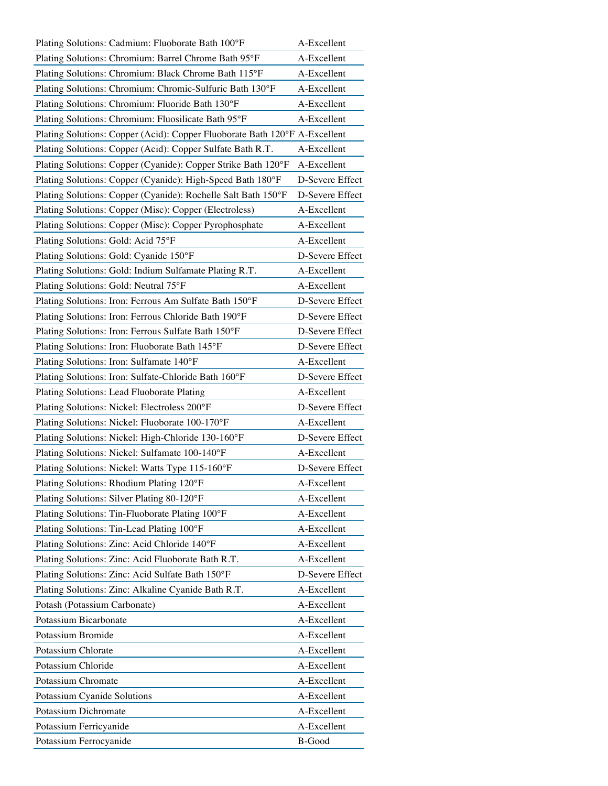| Plating Solutions: Cadmium: Fluoborate Bath 100°F                          | A-Excellent     |
|----------------------------------------------------------------------------|-----------------|
| Plating Solutions: Chromium: Barrel Chrome Bath 95°F                       | A-Excellent     |
| Plating Solutions: Chromium: Black Chrome Bath 115°F                       | A-Excellent     |
| Plating Solutions: Chromium: Chromic-Sulfuric Bath 130°F                   | A-Excellent     |
| Plating Solutions: Chromium: Fluoride Bath 130°F                           | A-Excellent     |
| Plating Solutions: Chromium: Fluosilicate Bath 95°F                        | A-Excellent     |
| Plating Solutions: Copper (Acid): Copper Fluoborate Bath 120°F A-Excellent |                 |
| Plating Solutions: Copper (Acid): Copper Sulfate Bath R.T.                 | A-Excellent     |
| Plating Solutions: Copper (Cyanide): Copper Strike Bath 120°F              | A-Excellent     |
| Plating Solutions: Copper (Cyanide): High-Speed Bath 180°F                 | D-Severe Effect |
| Plating Solutions: Copper (Cyanide): Rochelle Salt Bath 150°F              | D-Severe Effect |
| Plating Solutions: Copper (Misc): Copper (Electroless)                     | A-Excellent     |
| Plating Solutions: Copper (Misc): Copper Pyrophosphate                     | A-Excellent     |
| Plating Solutions: Gold: Acid 75°F                                         | A-Excellent     |
| Plating Solutions: Gold: Cyanide 150°F                                     | D-Severe Effect |
| Plating Solutions: Gold: Indium Sulfamate Plating R.T.                     | A-Excellent     |
| Plating Solutions: Gold: Neutral 75°F                                      | A-Excellent     |
| Plating Solutions: Iron: Ferrous Am Sulfate Bath 150°F                     | D-Severe Effect |
| Plating Solutions: Iron: Ferrous Chloride Bath 190°F                       | D-Severe Effect |
| Plating Solutions: Iron: Ferrous Sulfate Bath 150°F                        | D-Severe Effect |
| Plating Solutions: Iron: Fluoborate Bath 145°F                             | D-Severe Effect |
| Plating Solutions: Iron: Sulfamate 140°F                                   | A-Excellent     |
| Plating Solutions: Iron: Sulfate-Chloride Bath 160°F                       | D-Severe Effect |
| Plating Solutions: Lead Fluoborate Plating                                 | A-Excellent     |
| Plating Solutions: Nickel: Electroless 200°F                               | D-Severe Effect |
| Plating Solutions: Nickel: Fluoborate 100-170°F                            | A-Excellent     |
| Plating Solutions: Nickel: High-Chloride 130-160°F                         | D-Severe Effect |
| Plating Solutions: Nickel: Sulfamate 100-140°F                             | A-Excellent     |
| Plating Solutions: Nickel: Watts Type 115-160°F                            | D-Severe Effect |
| Plating Solutions: Rhodium Plating 120°F                                   | A-Excellent     |
| Plating Solutions: Silver Plating 80-120°F                                 | A-Excellent     |
| Plating Solutions: Tin-Fluoborate Plating 100°F                            | A-Excellent     |
| Plating Solutions: Tin-Lead Plating 100°F                                  | A-Excellent     |
| Plating Solutions: Zinc: Acid Chloride 140°F                               | A-Excellent     |
| Plating Solutions: Zinc: Acid Fluoborate Bath R.T.                         | A-Excellent     |
| Plating Solutions: Zinc: Acid Sulfate Bath 150°F                           | D-Severe Effect |
| Plating Solutions: Zinc: Alkaline Cyanide Bath R.T.                        | A-Excellent     |
| Potash (Potassium Carbonate)                                               | A-Excellent     |
| Potassium Bicarbonate                                                      | A-Excellent     |
| Potassium Bromide                                                          | A-Excellent     |
| Potassium Chlorate                                                         | A-Excellent     |
| Potassium Chloride                                                         | A-Excellent     |
| Potassium Chromate                                                         | A-Excellent     |
| Potassium Cyanide Solutions                                                | A-Excellent     |
| Potassium Dichromate                                                       | A-Excellent     |
| Potassium Ferricyanide                                                     | A-Excellent     |
| Potassium Ferrocyanide                                                     | <b>B-Good</b>   |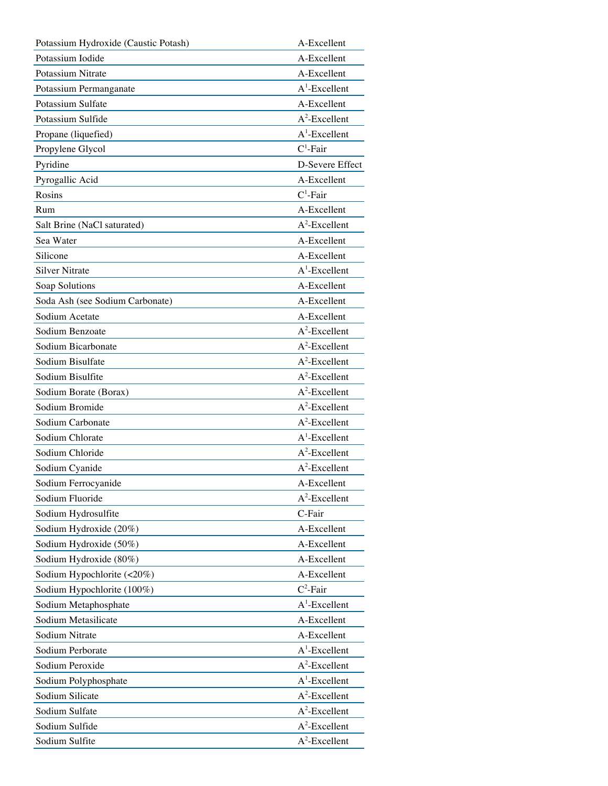| Potassium Hydroxide (Caustic Potash) | A-Excellent      |
|--------------------------------------|------------------|
| Potassium Iodide                     | A-Excellent      |
| Potassium Nitrate                    | A-Excellent      |
| Potassium Permanganate               | $A^1$ -Excellent |
| Potassium Sulfate                    | A-Excellent      |
| Potassium Sulfide                    | $A^2$ -Excellent |
| Propane (liquefied)                  | $A^1$ -Excellent |
| Propylene Glycol                     | $C^1$ -Fair      |
| Pyridine                             | D-Severe Effect  |
| Pyrogallic Acid                      | A-Excellent      |
| Rosins                               | $C^1$ -Fair      |
| Rum                                  | A-Excellent      |
| Salt Brine (NaCl saturated)          | $A^2$ -Excellent |
| Sea Water                            | A-Excellent      |
| Silicone                             | A-Excellent      |
| <b>Silver Nitrate</b>                | $A^1$ -Excellent |
| Soap Solutions                       | A-Excellent      |
| Soda Ash (see Sodium Carbonate)      | A-Excellent      |
| Sodium Acetate                       | A-Excellent      |
| Sodium Benzoate                      | $A^2$ -Excellent |
| Sodium Bicarbonate                   | $A^2$ -Excellent |
| Sodium Bisulfate                     | $A^2$ -Excellent |
| Sodium Bisulfite                     | $A^2$ -Excellent |
| Sodium Borate (Borax)                | $A^2$ -Excellent |
| Sodium Bromide                       | $A^2$ -Excellent |
| Sodium Carbonate                     | $A^2$ -Excellent |
| Sodium Chlorate                      | $A^1$ -Excellent |
| Sodium Chloride                      | $A^2$ -Excellent |
| Sodium Cyanide                       | $A^2$ -Excellent |
| Sodium Ferrocyanide                  | A-Excellent      |
| Sodium Fluoride                      | $A^2$ -Excellent |
| Sodium Hydrosulfite                  | C-Fair           |
| Sodium Hydroxide (20%)               | A-Excellent      |
| Sodium Hydroxide (50%)               | A-Excellent      |
| Sodium Hydroxide (80%)               | A-Excellent      |
| Sodium Hypochlorite (<20%)           | A-Excellent      |
| Sodium Hypochlorite (100%)           | $C^2$ -Fair      |
| Sodium Metaphosphate                 | $A^1$ -Excellent |
| Sodium Metasilicate                  | A-Excellent      |
| Sodium Nitrate                       | A-Excellent      |
| Sodium Perborate                     | $A^1$ -Excellent |
| Sodium Peroxide                      | $A^2$ -Excellent |
| Sodium Polyphosphate                 | $A^1$ -Excellent |
| Sodium Silicate                      | $A^2$ -Excellent |
| Sodium Sulfate                       | $A^2$ -Excellent |
| Sodium Sulfide                       | $A^2$ -Excellent |
| Sodium Sulfite                       | $A^2$ -Excellent |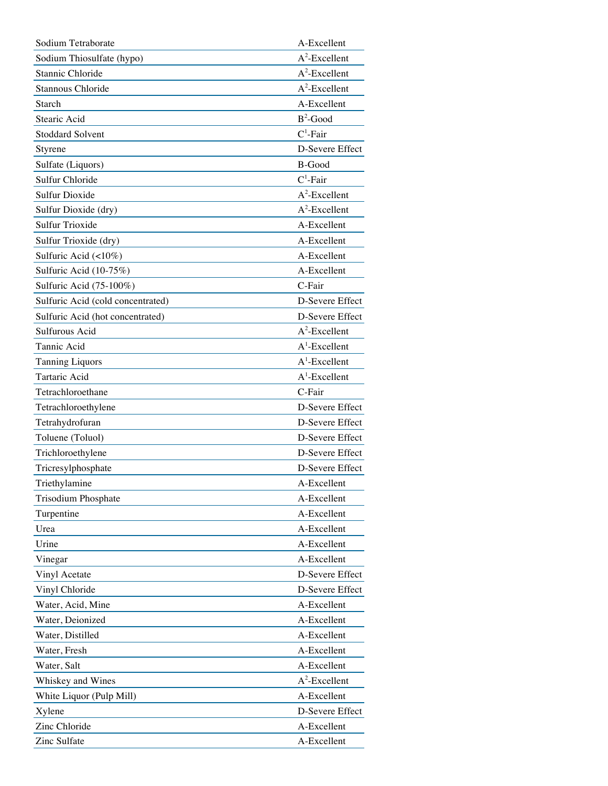| Sodium Tetraborate                | A-Excellent      |
|-----------------------------------|------------------|
| Sodium Thiosulfate (hypo)         | $A^2$ -Excellent |
| Stannic Chloride                  | $A^2$ -Excellent |
| Stannous Chloride                 | $A^2$ -Excellent |
| Starch                            | A-Excellent      |
| Stearic Acid                      | $B^2$ -Good      |
| <b>Stoddard Solvent</b>           | $C^1$ -Fair      |
| Styrene                           | D-Severe Effect  |
| Sulfate (Liquors)                 | B-Good           |
| Sulfur Chloride                   | $C^1$ -Fair      |
| <b>Sulfur Dioxide</b>             | $A^2$ -Excellent |
| Sulfur Dioxide (dry)              | $A^2$ -Excellent |
| <b>Sulfur Trioxide</b>            | A-Excellent      |
| Sulfur Trioxide (dry)             | A-Excellent      |
| Sulfuric Acid (<10%)              | A-Excellent      |
| Sulfuric Acid (10-75%)            | A-Excellent      |
| Sulfuric Acid (75-100%)           | C-Fair           |
| Sulfuric Acid (cold concentrated) | D-Severe Effect  |
| Sulfuric Acid (hot concentrated)  | D-Severe Effect  |
| Sulfurous Acid                    | $A^2$ -Excellent |
| Tannic Acid                       | $A^1$ -Excellent |
| <b>Tanning Liquors</b>            | $A^1$ -Excellent |
| Tartaric Acid                     | $A^1$ -Excellent |
| Tetrachloroethane                 | C-Fair           |
| Tetrachloroethylene               | D-Severe Effect  |
| Tetrahydrofuran                   | D-Severe Effect  |
| Toluene (Toluol)                  | D-Severe Effect  |
| Trichloroethylene                 | D-Severe Effect  |
| Tricresylphosphate                | D-Severe Effect  |
| Triethylamine                     | A-Excellent      |
| Trisodium Phosphate               | A-Excellent      |
| Turpentine                        | A-Excellent      |
| Urea                              | A-Excellent      |
| Urine                             | A-Excellent      |
| Vinegar                           | A-Excellent      |
| Vinyl Acetate                     | D-Severe Effect  |
| Vinyl Chloride                    | D-Severe Effect  |
| Water, Acid, Mine                 | A-Excellent      |
| Water, Deionized                  | A-Excellent      |
| Water, Distilled                  | A-Excellent      |
| Water, Fresh                      | A-Excellent      |
| Water, Salt                       | A-Excellent      |
| Whiskey and Wines                 | $A^2$ -Excellent |
| White Liquor (Pulp Mill)          | A-Excellent      |
| Xylene                            | D-Severe Effect  |
| Zinc Chloride                     | A-Excellent      |
| Zinc Sulfate                      | A-Excellent      |